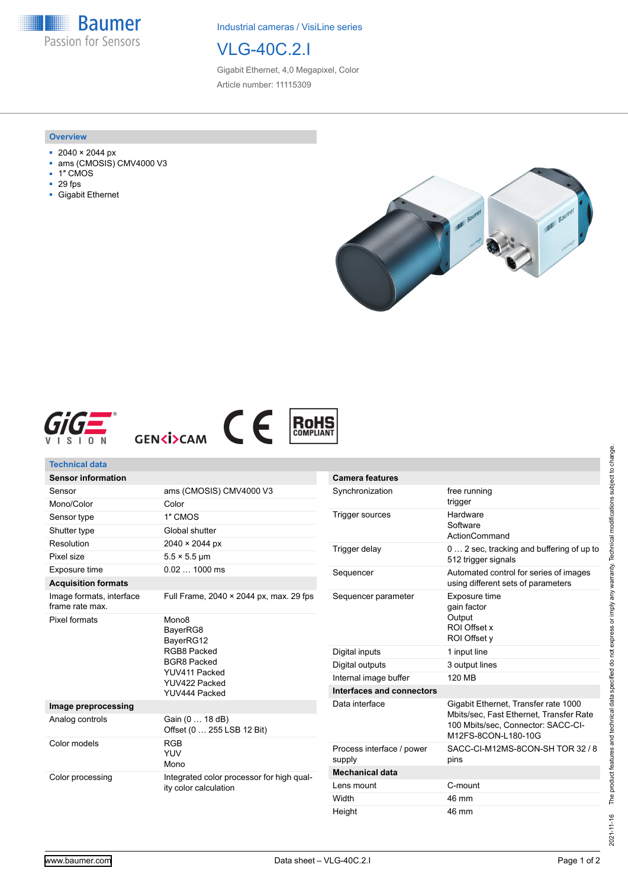**Baumer** Passion for Sensors

Industrial cameras / VisiLine series

## VLG-40C.2.I

Gigabit Ethernet, 4,0 Megapixel, Color Article number: 11115309

#### **Overview**

- 2040 × 2044 px
- ams (CMOSIS) CMV4000 V3
- 1″ CMOS
- 29 fps
- Gigabit Ethernet









| <b>Technical data</b>                       |                                                                                                                                    |                                     |                                                                                                      |
|---------------------------------------------|------------------------------------------------------------------------------------------------------------------------------------|-------------------------------------|------------------------------------------------------------------------------------------------------|
| <b>Sensor information</b>                   |                                                                                                                                    | <b>Camera features</b>              |                                                                                                      |
| Sensor                                      | ams (CMOSIS) CMV4000 V3                                                                                                            | Synchronization                     | free running<br>trigger                                                                              |
| Mono/Color                                  | Color                                                                                                                              |                                     |                                                                                                      |
| Sensor type                                 | 1" CMOS                                                                                                                            | <b>Trigger sources</b>              | Hardware<br>Software<br>ActionCommand                                                                |
| Shutter type                                | Global shutter                                                                                                                     |                                     |                                                                                                      |
| Resolution                                  | 2040 × 2044 px                                                                                                                     | Trigger delay                       | 0  2 sec, tracking and buffering of up to<br>512 trigger signals                                     |
| Pixel size                                  | $5.5 \times 5.5$ µm                                                                                                                |                                     |                                                                                                      |
| Exposure time                               | $0.021000$ ms                                                                                                                      | Sequencer                           | Automated control for series of images<br>using different sets of parameters                         |
| <b>Acquisition formats</b>                  |                                                                                                                                    |                                     |                                                                                                      |
| Image formats, interface<br>frame rate max. | Full Frame, 2040 × 2044 px, max. 29 fps                                                                                            | Sequencer parameter                 | Exposure time<br>gain factor                                                                         |
| Pixel formats                               | Mono <sub>8</sub><br>BayerRG8<br>BayerRG12<br>RGB8 Packed<br><b>BGR8 Packed</b><br>YUV411 Packed<br>YUV422 Packed<br>YUV444 Packed |                                     | Output<br>ROI Offset x<br>ROI Offset y                                                               |
|                                             |                                                                                                                                    | Digital inputs                      | 1 input line                                                                                         |
|                                             |                                                                                                                                    | Digital outputs                     | 3 output lines                                                                                       |
|                                             |                                                                                                                                    | Internal image buffer               | <b>120 MB</b>                                                                                        |
|                                             |                                                                                                                                    | <b>Interfaces and connectors</b>    |                                                                                                      |
| Image preprocessing                         |                                                                                                                                    | Data interface                      | Gigabit Ethernet, Transfer rate 1000                                                                 |
| Analog controls                             | Gain (0  18 dB)<br>Offset (0  255 LSB 12 Bit)                                                                                      |                                     | Mbits/sec, Fast Ethernet, Transfer Rate<br>100 Mbits/sec. Connector: SACC-CI-<br>M12FS-8CON-L180-10G |
| Color models                                | <b>RGB</b><br><b>YUV</b><br>Mono                                                                                                   | Process interface / power<br>supply | SACC-CI-M12MS-8CON-SH TOR 32 / 8<br>pins                                                             |
| Color processing                            | Integrated color processor for high qual-<br>ity color calculation                                                                 | <b>Mechanical data</b>              |                                                                                                      |
|                                             |                                                                                                                                    | Lens mount                          | C-mount                                                                                              |
|                                             |                                                                                                                                    | Width                               | 46 mm                                                                                                |

Height 46 mm